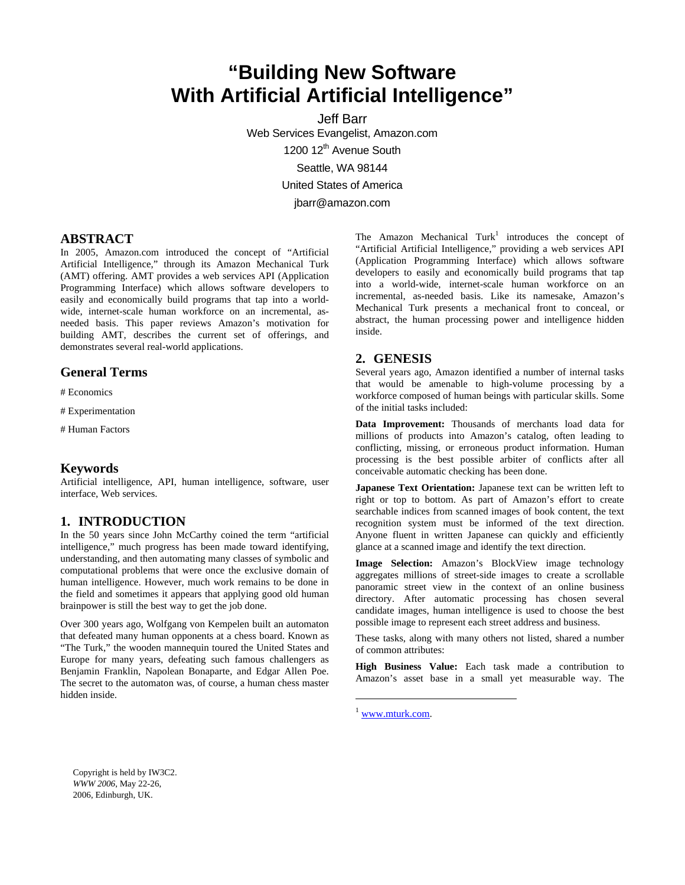# **"Building New Software With Artificial Artificial Intelligence"**

Jeff Barr Web Services Evangelist, Amazon.com 1200 12<sup>th</sup> Avenue South Seattle, WA 98144 United States of America jbarr@amazon.com

# **ABSTRACT**

In 2005, Amazon.com introduced the concept of "Artificial Artificial Intelligence," through its Amazon Mechanical Turk (AMT) offering. AMT provides a web services API (Application Programming Interface) which allows software developers to easily and economically build programs that tap into a worldwide, internet-scale human workforce on an incremental, asneeded basis. This paper reviews Amazon's motivation for building AMT, describes the current set of offerings, and demonstrates several real-world applications.

#### **General Terms**

# Economics

- # Experimentation
- # Human Factors

#### **Keywords**

Artificial intelligence, API, human intelligence, software, user interface, Web services.

#### **1. INTRODUCTION**

In the 50 years since John McCarthy coined the term "artificial intelligence," much progress has been made toward identifying, understanding, and then automating many classes of symbolic and computational problems that were once the exclusive domain of human intelligence. However, much work remains to be done in the field and sometimes it appears that applying good old human brainpower is still the best way to get the job done.

Over 300 years ago, Wolfgang von Kempelen built an automaton that defeated many human opponents at a chess board. Known as "The Turk," the wooden mannequin toured the United States and Europe for many years, defeating such famous challengers as Benjamin Franklin, Napolean Bonaparte, and Edgar Allen Poe. The secret to the automaton was, of course, a human chess master hidden inside.

The Amazon Mechanical Turk<sup>[1](#page-0-0)</sup> introduces the concept of "Artificial Artificial Intelligence," providing a web services API (Application Programming Interface) which allows software developers to easily and economically build programs that tap into a world-wide, internet-scale human workforce on an incremental, as-needed basis. Like its namesake, Amazon's Mechanical Turk presents a mechanical front to conceal, or abstract, the human processing power and intelligence hidden inside.

## **2. GENESIS**

Several years ago, Amazon identified a number of internal tasks that would be amenable to high-volume processing by a workforce composed of human beings with particular skills. Some of the initial tasks included:

**Data Improvement:** Thousands of merchants load data for millions of products into Amazon's catalog, often leading to conflicting, missing, or erroneous product information. Human processing is the best possible arbiter of conflicts after all conceivable automatic checking has been done.

**Japanese Text Orientation:** Japanese text can be written left to right or top to bottom. As part of Amazon's effort to create searchable indices from scanned images of book content, the text recognition system must be informed of the text direction. Anyone fluent in written Japanese can quickly and efficiently glance at a scanned image and identify the text direction.

**Image Selection:** Amazon's BlockView image technology aggregates millions of street-side images to create a scrollable panoramic street view in the context of an online business directory. After automatic processing has chosen several candidate images, human intelligence is used to choose the best possible image to represent each street address and business.

These tasks, along with many others not listed, shared a number of common attributes:

**High Business Value:** Each task made a contribution to Amazon's asset base in a small yet measurable way. The

<span id="page-0-0"></span> $1$  www.mturk.com.

1

Copyright is held by IW3C2. *WWW 2006*, May 22-26, 2006, Edinburgh, UK.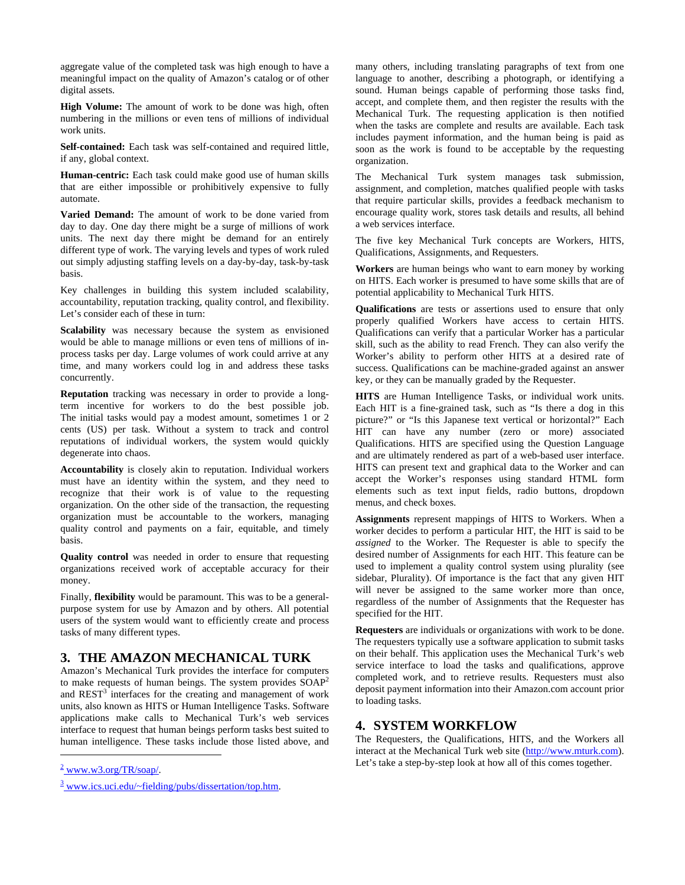aggregate value of the completed task was high enough to have a meaningful impact on the quality of Amazon's catalog or of other digital assets.

**High Volume:** The amount of work to be done was high, often numbering in the millions or even tens of millions of individual work units.

**Self-contained:** Each task was self-contained and required little, if any, global context.

**Human-centric:** Each task could make good use of human skills that are either impossible or prohibitively expensive to fully automate.

**Varied Demand:** The amount of work to be done varied from day to day. One day there might be a surge of millions of work units. The next day there might be demand for an entirely different type of work. The varying levels and types of work ruled out simply adjusting staffing levels on a day-by-day, task-by-task basis.

Key challenges in building this system included scalability, accountability, reputation tracking, quality control, and flexibility. Let's consider each of these in turn:

**Scalability** was necessary because the system as envisioned would be able to manage millions or even tens of millions of inprocess tasks per day. Large volumes of work could arrive at any time, and many workers could log in and address these tasks concurrently.

**Reputation** tracking was necessary in order to provide a longterm incentive for workers to do the best possible job. The initial tasks would pay a modest amount, sometimes 1 or 2 cents (US) per task. Without a system to track and control reputations of individual workers, the system would quickly degenerate into chaos.

**Accountability** is closely akin to reputation. Individual workers must have an identity within the system, and they need to recognize that their work is of value to the requesting organization. On the other side of the transaction, the requesting organization must be accountable to the workers, managing quality control and payments on a fair, equitable, and timely basis.

**Quality control** was needed in order to ensure that requesting organizations received work of acceptable accuracy for their money.

Finally, **flexibility** would be paramount. This was to be a generalpurpose system for use by Amazon and by others. All potential users of the system would want to efficiently create and process tasks of many different types.

# **3. THE AMAZON MECHANICAL TURK**

Amazon's Mechanical Turk provides the interface for computers to make requests of human beings. The system provides SOA[P2](#page-1-0) and  $REST<sup>3</sup>$  $REST<sup>3</sup>$  $REST<sup>3</sup>$  interfaces for the creating and management of work units, also known as HITS or Human Intelligence Tasks. Software applications make calls to Mechanical Turk's web services interface to request that human beings perform tasks best suited to human intelligence. These tasks include those listed above, and

 $\overline{a}$ 

many others, including translating paragraphs of text from one language to another, describing a photograph, or identifying a sound. Human beings capable of performing those tasks find, accept, and complete them, and then register the results with the Mechanical Turk. The requesting application is then notified when the tasks are complete and results are available. Each task includes payment information, and the human being is paid as soon as the work is found to be acceptable by the requesting organization.

The Mechanical Turk system manages task submission, assignment, and completion, matches qualified people with tasks that require particular skills, provides a feedback mechanism to encourage quality work, stores task details and results, all behind a web services interface.

The five key Mechanical Turk concepts are Workers, HITS, Qualifications, Assignments, and Requesters.

**Workers** are human beings who want to earn money by working on HITS. Each worker is presumed to have some skills that are of potential applicability to Mechanical Turk HITS.

**Qualifications** are tests or assertions used to ensure that only properly qualified Workers have access to certain HITS. Qualifications can verify that a particular Worker has a particular skill, such as the ability to read French. They can also verify the Worker's ability to perform other HITS at a desired rate of success. Qualifications can be machine-graded against an answer key, or they can be manually graded by the Requester.

**HITS** are Human Intelligence Tasks, or individual work units. Each HIT is a fine-grained task, such as "Is there a dog in this picture?" or "Is this Japanese text vertical or horizontal?" Each HIT can have any number (zero or more) associated Qualifications. HITS are specified using the Question Language and are ultimately rendered as part of a web-based user interface. HITS can present text and graphical data to the Worker and can accept the Worker's responses using standard HTML form elements such as text input fields, radio buttons, dropdown menus, and check boxes.

**Assignments** represent mappings of HITS to Workers. When a worker decides to perform a particular HIT, the HIT is said to be *assigned* to the Worker. The Requester is able to specify the desired number of Assignments for each HIT. This feature can be used to implement a quality control system using plurality (see sidebar, Plurality). Of importance is the fact that any given HIT will never be assigned to the same worker more than once, regardless of the number of Assignments that the Requester has specified for the HIT.

**Requesters** are individuals or organizations with work to be done. The requesters typically use a software application to submit tasks on their behalf. This application uses the Mechanical Turk's web service interface to load the tasks and qualifications, approve completed work, and to retrieve results. Requesters must also deposit payment information into their Amazon.com account prior to loading tasks.

## **4. SYSTEM WORKFLOW**

The Requesters, the Qualifications, HITS, and the Workers all interact at the Mechanical Turk web site [\(http://www.mturk.com\)](http://www.mturk.com/). Let's take a step-by-step look at how all of this comes together.

<span id="page-1-0"></span> $\frac{2}{2}$  www.w3.org/TR/soap/.

<span id="page-1-1"></span><sup>&</sup>lt;sup>3</sup> www.ics.uci.edu/~fielding/pubs/dissertation/top.htm.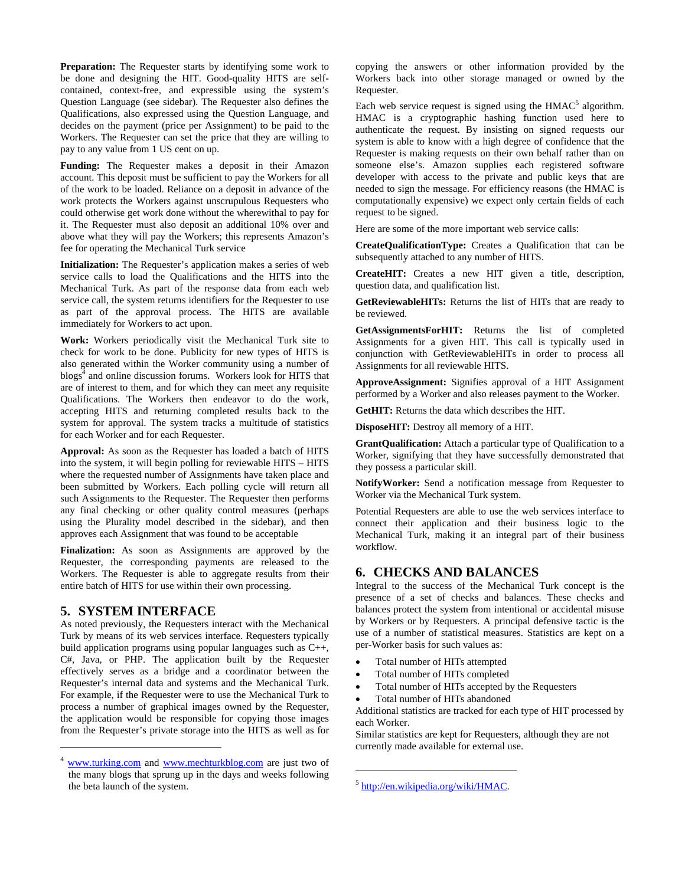**Preparation:** The Requester starts by identifying some work to be done and designing the HIT. Good-quality HITS are selfcontained, context-free, and expressible using the system's Question Language (see sidebar). The Requester also defines the Qualifications, also expressed using the Question Language, and decides on the payment (price per Assignment) to be paid to the Workers. The Requester can set the price that they are willing to pay to any value from 1 US cent on up.

**Funding:** The Requester makes a deposit in their Amazon account. This deposit must be sufficient to pay the Workers for all of the work to be loaded. Reliance on a deposit in advance of the work protects the Workers against unscrupulous Requesters who could otherwise get work done without the wherewithal to pay for it. The Requester must also deposit an additional 10% over and above what they will pay the Workers; this represents Amazon's fee for operating the Mechanical Turk service

**Initialization:** The Requester's application makes a series of web service calls to load the Qualifications and the HITS into the Mechanical Turk. As part of the response data from each web service call, the system returns identifiers for the Requester to use as part of the approval process. The HITS are available immediately for Workers to act upon.

**Work:** Workers periodically visit the Mechanical Turk site to check for work to be done. Publicity for new types of HITS is also generated within the Worker community using a number of blogs<sup>[4](#page-2-0)</sup> and online discussion forums. Workers look for HITS that are of interest to them, and for which they can meet any requisite Qualifications. The Workers then endeavor to do the work, accepting HITS and returning completed results back to the system for approval. The system tracks a multitude of statistics for each Worker and for each Requester.

**Approval:** As soon as the Requester has loaded a batch of HITS into the system, it will begin polling for reviewable HITS – HITS where the requested number of Assignments have taken place and been submitted by Workers. Each polling cycle will return all such Assignments to the Requester. The Requester then performs any final checking or other quality control measures (perhaps using the Plurality model described in the sidebar), and then approves each Assignment that was found to be acceptable

**Finalization:** As soon as Assignments are approved by the Requester, the corresponding payments are released to the Workers. The Requester is able to aggregate results from their entire batch of HITS for use within their own processing.

#### **5. SYSTEM INTERFACE**

 $\overline{a}$ 

As noted previously, the Requesters interact with the Mechanical Turk by means of its web services interface. Requesters typically build application programs using popular languages such as C++, C#, Java, or PHP. The application built by the Requester effectively serves as a bridge and a coordinator between the Requester's internal data and systems and the Mechanical Turk. For example, if the Requester were to use the Mechanical Turk to process a number of graphical images owned by the Requester, the application would be responsible for copying those images from the Requester's private storage into the HITS as well as for

<span id="page-2-0"></span><sup>4</sup> [www.turking.com](http://www.turking.com/) and [www.mechturkblog.com](http://www.mechturkblog.com/) are just two of the many blogs that sprung up in the days and weeks following the beta launch of the system.

copying the answers or other information provided by the Workers back into other storage managed or owned by the Requester.

Each web service request is signed using the  $HMAC<sup>5</sup>$  $HMAC<sup>5</sup>$  $HMAC<sup>5</sup>$  algorithm. HMAC is a cryptographic hashing function used here to authenticate the request. By insisting on signed requests our system is able to know with a high degree of confidence that the Requester is making requests on their own behalf rather than on someone else's. Amazon supplies each registered software developer with access to the private and public keys that are needed to sign the message. For efficiency reasons (the HMAC is computationally expensive) we expect only certain fields of each request to be signed.

Here are some of the more important web service calls:

**CreateQualificationType:** Creates a Qualification that can be subsequently attached to any number of HITS.

**CreateHIT:** Creates a new HIT given a title, description, question data, and qualification list.

**GetReviewableHITs:** Returns the list of HITs that are ready to be reviewed.

**GetAssignmentsForHIT:** Returns the list of completed Assignments for a given HIT. This call is typically used in conjunction with GetReviewableHITs in order to process all Assignments for all reviewable HITS.

**ApproveAssignment:** Signifies approval of a HIT Assignment performed by a Worker and also releases payment to the Worker.

**GetHIT:** Returns the data which describes the HIT.

**DisposeHIT:** Destroy all memory of a HIT.

**GrantQualification:** Attach a particular type of Qualification to a Worker, signifying that they have successfully demonstrated that they possess a particular skill.

**NotifyWorker:** Send a notification message from Requester to Worker via the Mechanical Turk system.

Potential Requesters are able to use the web services interface to connect their application and their business logic to the Mechanical Turk, making it an integral part of their business workflow.

# **6. CHECKS AND BALANCES**

Integral to the success of the Mechanical Turk concept is the presence of a set of checks and balances. These checks and balances protect the system from intentional or accidental misuse by Workers or by Requesters. A principal defensive tactic is the use of a number of statistical measures. Statistics are kept on a per-Worker basis for such values as:

- Total number of HITs attempted
- Total number of HITs completed
- Total number of HITs accepted by the Requesters
- Total number of HITs abandoned

Additional statistics are tracked for each type of HIT processed by each Worker.

Similar statistics are kept for Requesters, although they are not currently made available for external use.

1

<span id="page-2-1"></span><sup>5</sup> http://en.wikipedia.org/wiki/HMAC.